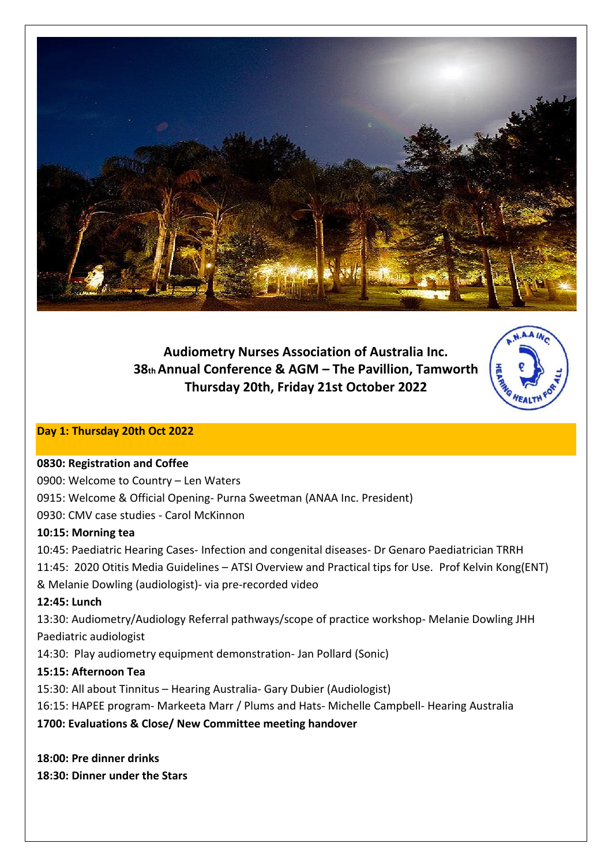

**Audiometry Nurses Association of Australia Inc. 38th Annual Conference & AGM – The Pavillion, Tamworth Thursday 20th, Friday 21st October 2022**



# **Day 1: Thursday 20th Oct 2022**

#### **0830: Registration and Coffee**

0900: Welcome to Country – Len Waters 0915: Welcome & Official Opening- Purna Sweetman (ANAA Inc. President) 0930: CMV case studies - Carol McKinnon **10:15: Morning tea** 10:45: Paediatric Hearing Cases- Infection and congenital diseases- Dr Genaro Paediatrician TRRH 11:45: 2020 Otitis Media Guidelines – ATSI Overview and Practical tips for Use. Prof Kelvin Kong(ENT) & Melanie Dowling (audiologist)- via pre-recorded video **12:45: Lunch** 13:30: Audiometry/Audiology Referral pathways/scope of practice workshop- Melanie Dowling JHH Paediatric audiologist 14:30: Play audiometry equipment demonstration- Jan Pollard (Sonic) **15:15: Afternoon Tea**  15:30: All about Tinnitus – Hearing Australia- Gary Dubier (Audiologist) 16:15: HAPEE program- Markeeta Marr / Plums and Hats- Michelle Campbell- Hearing Australia

**1700: Evaluations & Close/ New Committee meeting handover**

**18:00: Pre dinner drinks**

**18:30: Dinner under the Stars**